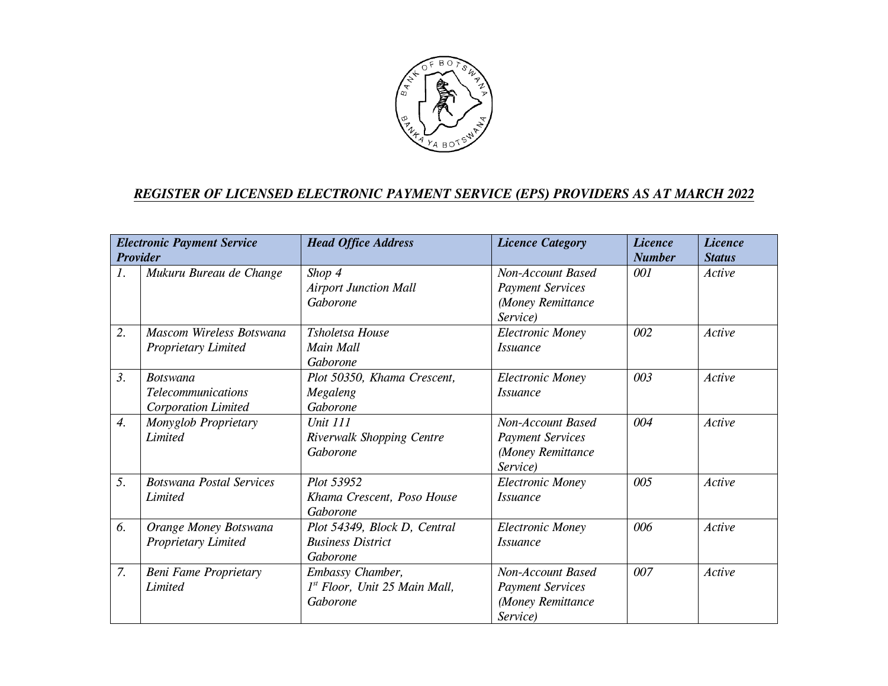

## *REGISTER OF LICENSED ELECTRONIC PAYMENT SERVICE (EPS) PROVIDERS AS AT MARCH 2022*

| <b>Electronic Payment Service</b><br><b>Provider</b> |                                                                            | <b>Head Office Address</b>                                           | <b>Licence Category</b>                                                       | <b>Licence</b><br><b>Number</b> | <b>Licence</b><br><b>Status</b> |
|------------------------------------------------------|----------------------------------------------------------------------------|----------------------------------------------------------------------|-------------------------------------------------------------------------------|---------------------------------|---------------------------------|
| 1.                                                   | Mukuru Bureau de Change                                                    | Shop 4<br><b>Airport Junction Mall</b><br>Gaborone                   | Non-Account Based<br><b>Payment Services</b><br>(Money Remittance<br>Service) | 001                             | Active                          |
| 2.                                                   | Mascom Wireless Botswana<br><b>Proprietary Limited</b>                     | Tsholetsa House<br>Main Mall<br>Gaborone                             | <b>Electronic Money</b><br><i>Issuance</i>                                    | 002                             | Active                          |
| 3.                                                   | <b>Botswana</b><br><i>Telecommunications</i><br><b>Corporation Limited</b> | Plot 50350, Khama Crescent,<br>Megaleng<br>Gaborone                  | <b>Electronic Money</b><br><i>Issuance</i>                                    | 003                             | Active                          |
| $\overline{4}$ .                                     | Monyglob Proprietary<br>Limited                                            | <b>Unit 111</b><br>Riverwalk Shopping Centre<br>Gaborone             | Non-Account Based<br><b>Payment Services</b><br>(Money Remittance<br>Service) | 004                             | Active                          |
| 5.                                                   | <b>Botswana Postal Services</b><br>Limited                                 | Plot 53952<br>Khama Crescent, Poso House<br>Gaborone                 | <b>Electronic Money</b><br><i>Issuance</i>                                    | 005                             | Active                          |
| 6.                                                   | Orange Money Botswana<br>Proprietary Limited                               | Plot 54349, Block D, Central<br><b>Business District</b><br>Gaborone | <b>Electronic Money</b><br><i>Issuance</i>                                    | 006                             | Active                          |
| 7.                                                   | <b>Beni Fame Proprietary</b><br>Limited                                    | Embassy Chamber,<br>1st Floor, Unit 25 Main Mall,<br>Gaborone        | Non-Account Based<br><b>Payment Services</b><br>(Money Remittance<br>Service) | 007                             | Active                          |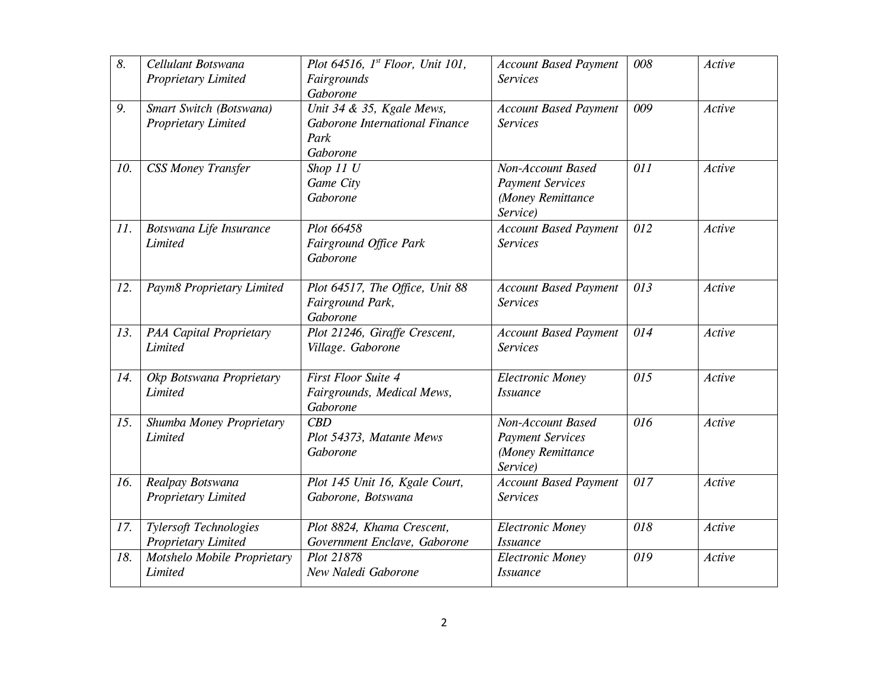| 8.  | Cellulant Botswana<br><b>Proprietary Limited</b>            | Plot 64516, $1^{st}$ Floor, Unit 101,<br>Fairgrounds<br>Gaborone                  | <b>Account Based Payment</b><br><b>Services</b>                               | 008 | Active |
|-----|-------------------------------------------------------------|-----------------------------------------------------------------------------------|-------------------------------------------------------------------------------|-----|--------|
| 9.  | Smart Switch (Botswana)<br>Proprietary Limited              | Unit $34$ & 35, Kgale Mews,<br>Gaborone International Finance<br>Park<br>Gaborone | <b>Account Based Payment</b><br><b>Services</b>                               | 009 | Active |
| 10. | <b>CSS Money Transfer</b>                                   | Shop 11 U<br>Game City<br>Gaborone                                                | Non-Account Based<br><b>Payment Services</b><br>(Money Remittance<br>Service) | 011 | Active |
| 11. | Botswana Life Insurance<br>Limited                          | Plot 66458<br>Fairground Office Park<br>Gaborone                                  | <b>Account Based Payment</b><br><b>Services</b>                               | 012 | Active |
| 12. | Paym8 Proprietary Limited                                   | Plot 64517, The Office, Unit 88<br>Fairground Park,<br>Gaborone                   | <b>Account Based Payment</b><br><b>Services</b>                               | 013 | Active |
| 13. | <b>PAA Capital Proprietary</b><br>Limited                   | Plot 21246, Giraffe Crescent,<br>Village. Gaborone                                | <b>Account Based Payment</b><br><b>Services</b>                               | 014 | Active |
| 14. | Okp Botswana Proprietary<br>Limited                         | <b>First Floor Suite 4</b><br>Fairgrounds, Medical Mews,<br>Gaborone              | <b>Electronic Money</b><br><i><b>Issuance</b></i>                             | 015 | Active |
| 15. | Shumba Money Proprietary<br>Limited                         | CBD<br>Plot 54373, Matante Mews<br>Gaborone                                       | Non-Account Based<br><b>Payment Services</b><br>(Money Remittance<br>Service) | 016 | Active |
| 16. | Realpay Botswana<br><b>Proprietary Limited</b>              | Plot 145 Unit 16, Kgale Court,<br>Gaborone, Botswana                              | <b>Account Based Payment</b><br><b>Services</b>                               | 017 | Active |
| 17. | <b>Tylersoft Technologies</b><br><b>Proprietary Limited</b> | Plot 8824, Khama Crescent,<br>Government Enclave, Gaborone                        | <b>Electronic Money</b><br><b>Issuance</b>                                    | 018 | Active |
| 18. | Motshelo Mobile Proprietary<br>Limited                      | Plot 21878<br>New Naledi Gaborone                                                 | <b>Electronic Money</b><br><b>Issuance</b>                                    | 019 | Active |